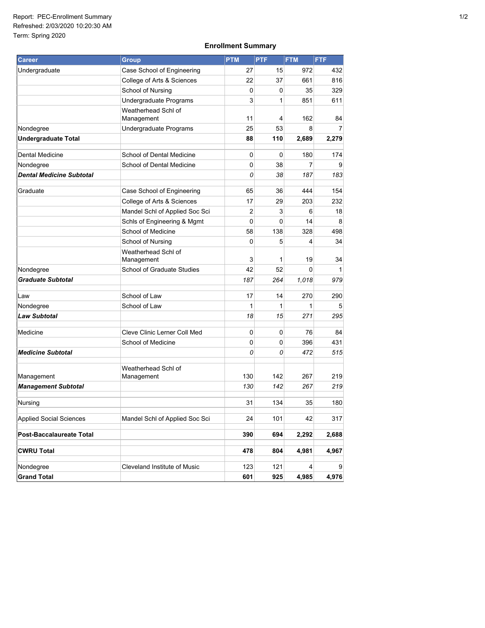## **Enrollment Summary**

| <b>Career</b>                  | <b>Group</b>                      | <b>PTM</b> | <b>PTF</b> | <b>FTM</b> | <b>FTF</b> |
|--------------------------------|-----------------------------------|------------|------------|------------|------------|
| Undergraduate                  | Case School of Engineering        | 27         | 15         | 972        | 432        |
|                                | College of Arts & Sciences        | 22         | 37         | 661        | 816        |
|                                | School of Nursing                 | 0          | 0          | 35         | 329        |
|                                | Undergraduate Programs            | 3          | 1          | 851        | 611        |
|                                | Weatherhead Schl of<br>Management | 11         | 4          | 162        | 84         |
| Nondegree                      | Undergraduate Programs            | 25         | 53         | 8          | 7          |
| <b>Undergraduate Total</b>     |                                   | 88         | 110        | 2,689      | 2,279      |
| Dental Medicine                | School of Dental Medicine         | 0          | 0          | 180        | 174        |
| Nondegree                      | School of Dental Medicine         | 0          | 38         | 7          | 9          |
| Dental Medicine Subtotal       |                                   | 0          | 38         | 187        | 183        |
|                                |                                   |            |            |            |            |
| Graduate                       | Case School of Engineering        | 65         | 36         | 444        | 154        |
|                                | College of Arts & Sciences        | 17         | 29         | 203        | 232        |
|                                | Mandel Schl of Applied Soc Sci    | 2          | 3          | 6          | 18         |
|                                | Schls of Engineering & Mgmt       | 0          | 0          | 14         | 8          |
|                                | School of Medicine                | 58         | 138        | 328        | 498        |
|                                | School of Nursing                 | 0          | 5          | 4          | 34         |
|                                | Weatherhead Schl of<br>Management | 3          | 1          | 19         | 34         |
| Nondegree                      | School of Graduate Studies        | 42         | 52         | 0          | 1          |
| <b>Graduate Subtotal</b>       |                                   | 187        | 264        | 1,018      | 979        |
| Law                            | School of Law                     | 17         | 14         | 270        | 290        |
| Nondegree                      | School of Law                     | 1          | 1          | 1          | 5          |
| <b>Law Subtotal</b>            |                                   | 18         | 15         | 271        | 295        |
| Medicine                       | Cleve Clinic Lerner Coll Med      | 0          | 0          | 76         | 84         |
|                                | School of Medicine                | 0          | 0          | 396        | 431        |
| <b>Medicine Subtotal</b>       |                                   | 0          | 0          | 472        | 515        |
| Management                     | Weatherhead Schl of<br>Management | 130        | 142        | 267        | 219        |
| <b>Management Subtotal</b>     |                                   | 130        | 142        | 267        | 219        |
| Nursing                        |                                   | 31         | 134        | 35         | 180        |
| <b>Applied Social Sciences</b> | Mandel Schl of Applied Soc Sci    | 24         | 101        | 42         | 317        |
| Post-Baccalaureate Total       |                                   | 390        | 694        | 2,292      | 2,688      |
| <b>CWRU Total</b>              |                                   | 478        | 804        | 4,981      | 4,967      |
| Nondegree                      | Cleveland Institute of Music      | 123        | 121        | 4          | 9          |
| <b>Grand Total</b>             |                                   | 601        | 925        | 4,985      | 4,976      |